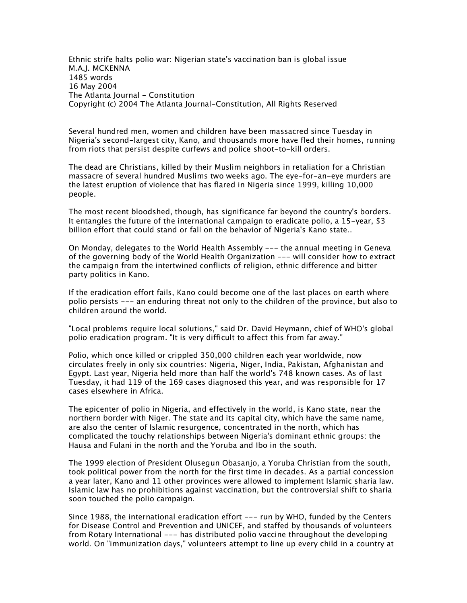*Ethnic strife halts polio war: Nigerian state's vaccination ban is global issue M.A.J. MCKENNA 1485 words 16 May 2004 The Atlanta Journal - Constitution Copyright (c) 2004 The Atlanta Journal-Constitution, All Rights Reserved*

*Several hundred men, women and children have been massacred since Tuesday in Nigeria's second-largest city, Kano, and thousands more have fled their homes, running from riots that persist despite curfews and police shoot-to-kill orders.*

*The dead are Christians, killed by their Muslim neighbors in retaliation for a Christian massacre of several hundred Muslims two weeks ago. The eye-for-an-eye murders are the latest eruption of violence that has flared in Nigeria since 1999, killing 10,000 people.*

*The most recent bloodshed, though, has significance far beyond the country's borders. It entangles the future of the international campaign to eradicate polio, a 15-year, \$3 billion effort that could stand or fall on the behavior of Nigeria's Kano state..*

*On Monday, delegates to the World Health Assembly --- the annual meeting in Geneva of the governing body of the World Health Organization --- will consider how to extract the campaign from the intertwined conflicts of religion, ethnic difference and bitter party politics in Kano.*

*If the eradication effort fails, Kano could become one of the last places on earth where polio persists --- an enduring threat not only to the children of the province, but also to children around the world.*

*"Local problems require local solutions," said Dr. David Heymann, chief of WHO's global polio eradication program. "It is very difficult to affect this from far away."*

*Polio, which once killed or crippled 350,000 children each year worldwide, now circulates freely in only six countries: Nigeria, Niger, India, Pakistan, Afghanistan and Egypt. Last year, Nigeria held more than half the world's 748 known cases. As of last Tuesday, it had 119 of the 169 cases diagnosed this year, and was responsible for 17 cases elsewhere in Africa.*

*The epicenter of polio in Nigeria, and effectively in the world, is Kano state, near the northern border with Niger. The state and its capital city, which have the same name, are also the center of Islamic resurgence, concentrated in the north, which has complicated the touchy relationships between Nigeria's dominant ethnic groups: the Hausa and Fulani in the north and the Yoruba and Ibo in the south.*

*The 1999 election of President Olusegun Obasanjo, a Yoruba Christian from the south, took political power from the north for the first time in decades. As a partial concession a year later, Kano and 11 other provinces were allowed to implement Islamic sharia law. Islamic law has no prohibitions against vaccination, but the controversial shift to sharia soon touched the polio campaign.*

*Since 1988, the international eradication effort --- run by WHO, funded by the Centers for Disease Control and Prevention and UNICEF, and staffed by thousands of volunteers from Rotary International --- has distributed polio vaccine throughout the developing world. On "immunization days," volunteers attempt to line up every child in a country at*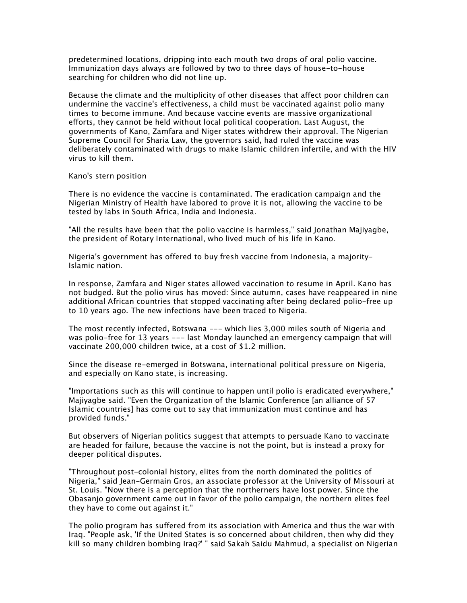*predetermined locations, dripping into each mouth two drops of oral polio vaccine. Immunization days always are followed by two to three days of house-to-house searching for children who did not line up.*

*Because the climate and the multiplicity of other diseases that affect poor children can undermine the vaccine's effectiveness, a child must be vaccinated against polio many times to become immune. And because vaccine events are massive organizational efforts, they cannot be held without local political cooperation. Last August, the governments of Kano, Zamfara and Niger states withdrew their approval. The Nigerian Supreme Council for Sharia Law, the governors said, had ruled the vaccine was deliberately contaminated with drugs to make Islamic children infertile, and with the HIV virus to kill them.*

## *Kano's stern position*

*There is no evidence the vaccine is contaminated. The eradication campaign and the Nigerian Ministry of Health have labored to prove it is not, allowing the vaccine to be tested by labs in South Africa, India and Indonesia.*

*"All the results have been that the polio vaccine is harmless," said Jonathan Majiyagbe, the president of Rotary International, who lived much of his life in Kano.*

*Nigeria's government has offered to buy fresh vaccine from Indonesia, a majority-Islamic nation.*

*In response, Zamfara and Niger states allowed vaccination to resume in April. Kano has not budged. But the polio virus has moved: Since autumn, cases have reappeared in nine additional African countries that stopped vaccinating after being declared polio-free up to 10 years ago. The new infections have been traced to Nigeria.*

*The most recently infected, Botswana --- which lies 3,000 miles south of Nigeria and*  was polio-free for 13 years --- last Monday launched an emergency campaign that will *vaccinate 200,000 children twice, at a cost of \$1.2 million.*

*Since the disease re-emerged in Botswana, international political pressure on Nigeria, and especially on Kano state, is increasing.*

*"Importations such as this will continue to happen until polio is eradicated everywhere," Majiyagbe said. "Even the Organization of the Islamic Conference [an alliance of 57 Islamic countries] has come out to say that immunization must continue and has provided funds."*

*But observers of Nigerian politics suggest that attempts to persuade Kano to vaccinate are headed for failure, because the vaccine is not the point, but is instead a proxy for deeper political disputes.*

*"Throughout post-colonial history, elites from the north dominated the politics of Nigeria," said Jean-Germain Gros, an associate professor at the University of Missouri at St. Louis. "Now there is a perception that the northerners have lost power. Since the Obasanjo government came out in favor of the polio campaign, the northern elites feel they have to come out against it."*

*The polio program has suffered from its association with America and thus the war with Irag. "People ask, 'If the United States is so concerned about children, then why did they kill so many children bombing Iraq?' " said Sakah Saidu Mahmud, a specialist on Nigerian*